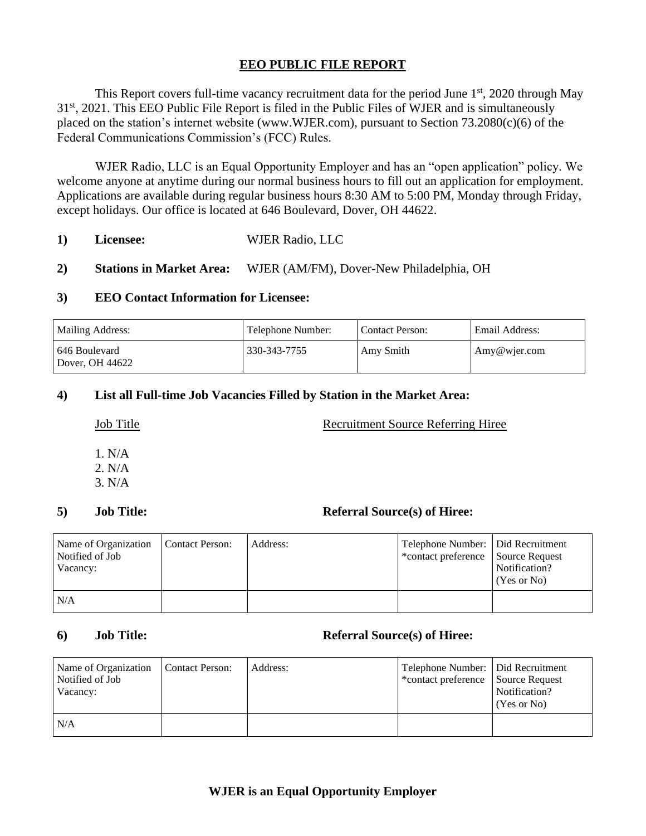# **EEO PUBLIC FILE REPORT**

This Report covers full-time vacancy recruitment data for the period June  $1<sup>st</sup>$ , 2020 through May 31<sup>st</sup>, 2021. This EEO Public File Report is filed in the Public Files of WJER and is simultaneously placed on the station's internet website (www.WJER.com), pursuant to Section 73.2080(c)(6) of the Federal Communications Commission's (FCC) Rules.

WJER Radio, LLC is an Equal Opportunity Employer and has an "open application" policy. We welcome anyone at anytime during our normal business hours to fill out an application for employment. Applications are available during regular business hours 8:30 AM to 5:00 PM, Monday through Friday, except holidays. Our office is located at 646 Boulevard, Dover, OH 44622.

- **1) Licensee:** WJER Radio, LLC
- **2) Stations in Market Area:** WJER (AM/FM), Dover-New Philadelphia, OH

### **3) EEO Contact Information for Licensee:**

| <b>Mailing Address:</b>            | Telephone Number: | <b>Contact Person:</b> | Email Address: |
|------------------------------------|-------------------|------------------------|----------------|
| l 646 Boulevard<br>Dover, OH 44622 | 330-343-7755      | Amy Smith              | Amy@wjer.com   |

# **4) List all Full-time Job Vacancies Filled by Station in the Market Area:**

### Job Title Recruitment Source Referring Hiree

1. N/A 2. N/A 3. N/A

# **5) Job Title: Referral Source(s) of Hiree:**

| Name of Organization   Contact Person:<br>Notified of Job<br>Vacancy: | Address: | Telephone Number:   Did Recruitment<br>*contact preference Source Request | Notification?<br>(Yes or No) |
|-----------------------------------------------------------------------|----------|---------------------------------------------------------------------------|------------------------------|
| N/A                                                                   |          |                                                                           |                              |

### **6) Job Title: Referral Source(s) of Hiree:**

| Name of Organization<br>Notified of Job<br>Vacancy: | Contact Person: | Address: | Telephone Number:   Did Recruitment<br>*contact preference Source Request | Notification?<br>(Yes or No) |
|-----------------------------------------------------|-----------------|----------|---------------------------------------------------------------------------|------------------------------|
| N/A                                                 |                 |          |                                                                           |                              |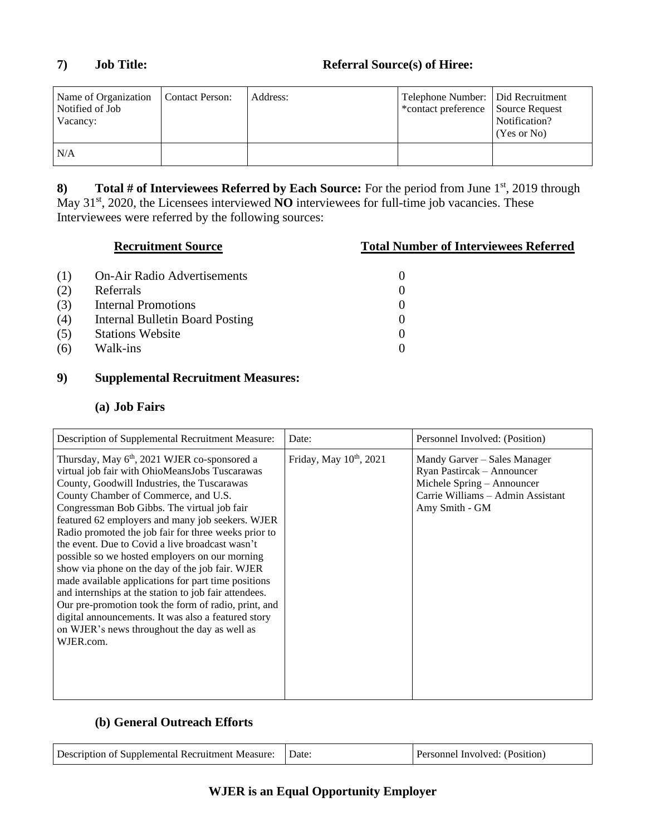| Name of Organization<br>Notified of Job<br>Vacancy: | Contact Person: | Address: | Telephone Number:   Did Recruitment<br>*contact preference Source Request | Notification?<br>(Yes or No) |
|-----------------------------------------------------|-----------------|----------|---------------------------------------------------------------------------|------------------------------|
| N/A                                                 |                 |          |                                                                           |                              |

**8) Total # of Interviewees Referred by Each Source:** For the period from June 1<sup>st</sup>, 2019 through May 31<sup>st</sup>, 2020, the Licensees interviewed **NO** interviewees for full-time job vacancies. These Interviewees were referred by the following sources:

| <b>Recruitment Source</b> |                                    | <b>Total Number of Interviewees Referred</b> |  |
|---------------------------|------------------------------------|----------------------------------------------|--|
| (1)                       | <b>On-Air Radio Advertisements</b> |                                              |  |
| (2)                       | Referrals                          |                                              |  |
| (3)                       | <b>Internal Promotions</b>         | 0                                            |  |
| (4)                       | Internal Bulletin Board Posting    |                                              |  |
| (5)                       | <b>Stations Website</b>            | $\theta$                                     |  |
| (6)                       | Walk-ins                           | 0                                            |  |
|                           |                                    |                                              |  |

# **9) Supplemental Recruitment Measures:**

# **(a) Job Fairs**

| Description of Supplemental Recruitment Measure:                                                                                                                                                                                                                                                                                                                                                                                                                                                                                                                                                                                                                                                                                                                                                                 | Date:                               | Personnel Involved: (Position)                                                                                                                  |
|------------------------------------------------------------------------------------------------------------------------------------------------------------------------------------------------------------------------------------------------------------------------------------------------------------------------------------------------------------------------------------------------------------------------------------------------------------------------------------------------------------------------------------------------------------------------------------------------------------------------------------------------------------------------------------------------------------------------------------------------------------------------------------------------------------------|-------------------------------------|-------------------------------------------------------------------------------------------------------------------------------------------------|
| Thursday, May 6 <sup>th</sup> , 2021 WJER co-sponsored a<br>virtual job fair with OhioMeansJobs Tuscarawas<br>County, Goodwill Industries, the Tuscarawas<br>County Chamber of Commerce, and U.S.<br>Congressman Bob Gibbs. The virtual job fair<br>featured 62 employers and many job seekers. WJER<br>Radio promoted the job fair for three weeks prior to<br>the event. Due to Covid a live broadcast wasn't<br>possible so we hosted employers on our morning<br>show via phone on the day of the job fair. WJER<br>made available applications for part time positions<br>and internships at the station to job fair attendees.<br>Our pre-promotion took the form of radio, print, and<br>digital announcements. It was also a featured story<br>on WJER's news throughout the day as well as<br>WJER.com. | Friday, May 10 <sup>th</sup> , 2021 | Mandy Garver – Sales Manager<br>Ryan Pastircak - Announcer<br>Michele Spring - Announcer<br>Carrie Williams - Admin Assistant<br>Amy Smith - GM |

# **(b) General Outreach Efforts**

| Description of Supplemental Recruitment Measure: | Date | Personnel Involved: (Position) |
|--------------------------------------------------|------|--------------------------------|
|--------------------------------------------------|------|--------------------------------|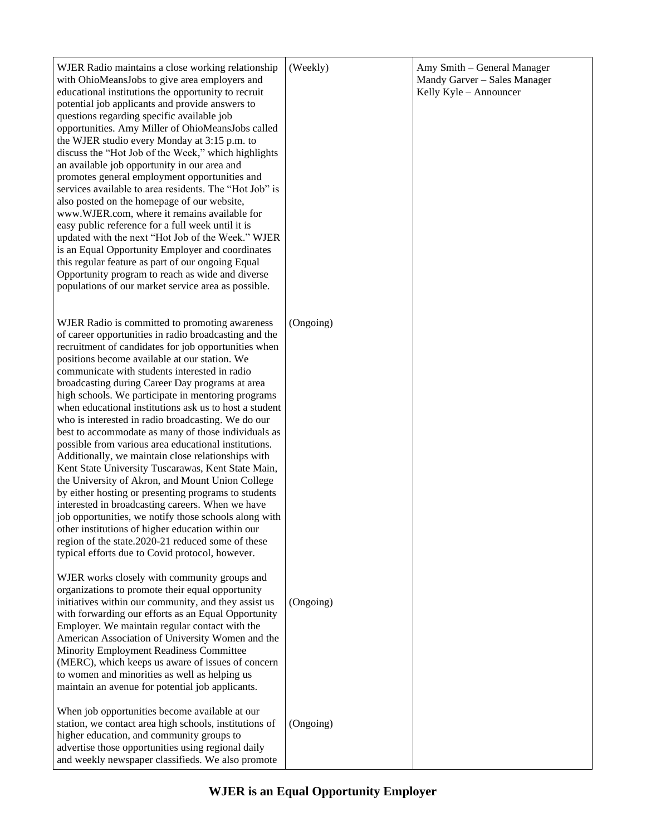| WJER Radio maintains a close working relationship<br>with OhioMeansJobs to give area employers and<br>educational institutions the opportunity to recruit<br>potential job applicants and provide answers to<br>questions regarding specific available job<br>opportunities. Amy Miller of OhioMeansJobs called<br>the WJER studio every Monday at 3:15 p.m. to<br>discuss the "Hot Job of the Week," which highlights<br>an available job opportunity in our area and<br>promotes general employment opportunities and<br>services available to area residents. The "Hot Job" is<br>also posted on the homepage of our website,<br>www.WJER.com, where it remains available for<br>easy public reference for a full week until it is<br>updated with the next "Hot Job of the Week." WJER<br>is an Equal Opportunity Employer and coordinates<br>this regular feature as part of our ongoing Equal<br>Opportunity program to reach as wide and diverse<br>populations of our market service area as possible.                                                                                              | (Weekly)  | Amy Smith - General Manager<br>Mandy Garver - Sales Manager<br>Kelly Kyle - Announcer |
|-------------------------------------------------------------------------------------------------------------------------------------------------------------------------------------------------------------------------------------------------------------------------------------------------------------------------------------------------------------------------------------------------------------------------------------------------------------------------------------------------------------------------------------------------------------------------------------------------------------------------------------------------------------------------------------------------------------------------------------------------------------------------------------------------------------------------------------------------------------------------------------------------------------------------------------------------------------------------------------------------------------------------------------------------------------------------------------------------------------|-----------|---------------------------------------------------------------------------------------|
| WJER Radio is committed to promoting awareness<br>of career opportunities in radio broadcasting and the<br>recruitment of candidates for job opportunities when<br>positions become available at our station. We<br>communicate with students interested in radio<br>broadcasting during Career Day programs at area<br>high schools. We participate in mentoring programs<br>when educational institutions ask us to host a student<br>who is interested in radio broadcasting. We do our<br>best to accommodate as many of those individuals as<br>possible from various area educational institutions.<br>Additionally, we maintain close relationships with<br>Kent State University Tuscarawas, Kent State Main,<br>the University of Akron, and Mount Union College<br>by either hosting or presenting programs to students<br>interested in broadcasting careers. When we have<br>job opportunities, we notify those schools along with<br>other institutions of higher education within our<br>region of the state.2020-21 reduced some of these<br>typical efforts due to Covid protocol, however. | (Ongoing) |                                                                                       |
| WJER works closely with community groups and<br>organizations to promote their equal opportunity<br>initiatives within our community, and they assist us<br>with forwarding our efforts as an Equal Opportunity<br>Employer. We maintain regular contact with the<br>American Association of University Women and the<br>Minority Employment Readiness Committee<br>(MERC), which keeps us aware of issues of concern<br>to women and minorities as well as helping us<br>maintain an avenue for potential job applicants.                                                                                                                                                                                                                                                                                                                                                                                                                                                                                                                                                                                  | (Ongoing) |                                                                                       |
| When job opportunities become available at our<br>station, we contact area high schools, institutions of<br>higher education, and community groups to<br>advertise those opportunities using regional daily<br>and weekly newspaper classifieds. We also promote                                                                                                                                                                                                                                                                                                                                                                                                                                                                                                                                                                                                                                                                                                                                                                                                                                            | (Ongoing) |                                                                                       |